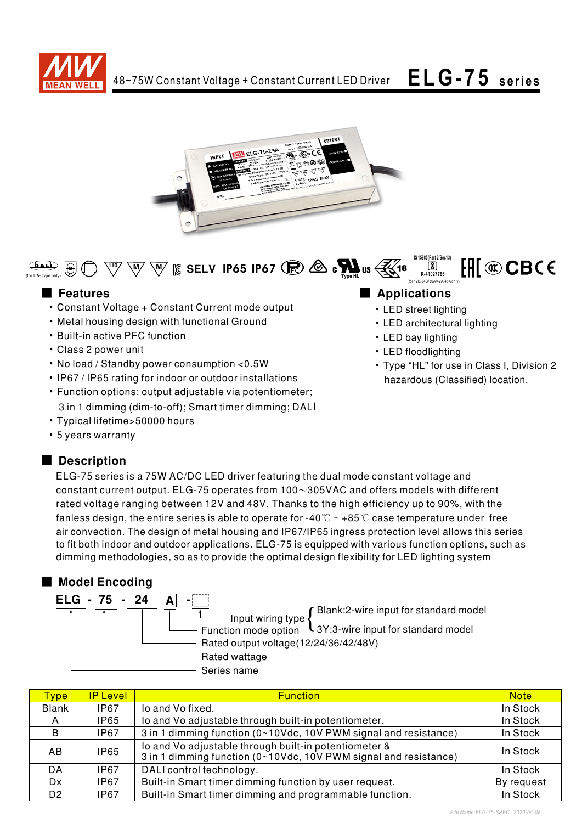



**IS 15885(Part 2/Sec13)**  $\mathsf{F}\mathsf{H}\mathsf{I}\otimes\mathbf{C}\mathbf{B}$ C $\mathsf{C}\in$  $\bigoplus$  $\sqrt{8}$  $\mathbb{I}^{10}$   $\mathbb{W}$   $\mathbb{W}$   $\mathbb{R}$  SELV IP65 IP67 ( $\mathbb{R}$ )  $\mathbb{Z}$  c  $\mathbb{W}$  is  $\mathbb{R}$ 18 **R-41027766** (for DA-Type only)

- Constant Voltage + Constant Current mode output
- Metal housing design with functional Ground
- Built-in active PFC function
- Class 2 power unit
- No load / Standby power consumption < 0.5W
- IP67 / IP65 rating for indoor or outdoor installations
- Function options: output adjustable via potentiometer; 3 in 1 dimming (dim-to-off); Smart timer dimming; DALI
- Typical lifetime>50000 hours
- 5 years warranty

# Description

## ELG-75 series is a 75W AC/DC LED driver featuring the dual mode constant voltage and constant current output. ELG-75 operates from  $100~305$ VAC and offers models with different rated voltage ranging between 12V and 48V. Thanks to the high efficiency up to 90%, with the fanless design, the entire series is able to operate for -40  $\degree$  ~ +85  $\degree$  case temperature under free air convection. The design of metal housing and IP67/IP65 ingress protection level allows this series to fit both indoor and outdoor applications. ELG-75 is equipped with various function options, such as dimming methodologies, so as to provide the optimal design flexibility for LED lighting system

# ■ Model Encoding

| ELG - 75 - 24 |                                                                                                                                       |
|---------------|---------------------------------------------------------------------------------------------------------------------------------------|
|               | Blank:2-wire input for standard model                                                                                                 |
|               | Imput wiring type $\left\{\n\begin{array}{l}\n\text{Dianic,} \\ \text{Dianic,} \\ \text{Function mode option}\n\end{array}\n\right\}$ |
|               | Rated output voltage(12/24/36/42/48V)                                                                                                 |
|               | Rated wattage                                                                                                                         |
|               | Series name                                                                                                                           |

| <b>Type</b>    | IP Level    | <b>Function</b>                                                                                                           | <b>Note</b> |
|----------------|-------------|---------------------------------------------------------------------------------------------------------------------------|-------------|
| <b>Blank</b>   | IP67        | lo and Vo fixed.                                                                                                          | In Stock    |
| A              | <b>IP65</b> | lo and Vo adjustable through built-in potentiometer.                                                                      | In Stock    |
| B.             | IP67        | 3 in 1 dimming function (0~10Vdc, 10V PWM signal and resistance)                                                          | In Stock    |
| AB.            | <b>IP65</b> | lo and Vo adjustable through built-in potentiometer &<br>3 in 1 dimming function (0~10Vdc, 10V PWM signal and resistance) |             |
| DA             | IP67        | DALI control technology.                                                                                                  | In Stock    |
| Dx.            | IP67        | Built-in Smart timer dimming function by user request.                                                                    | By request  |
| D <sub>2</sub> | IP67        | Built-in Smart timer dimming and programmable function.                                                                   | In Stock    |

# ■ Features ■ Pressure and Pressure and Pressure and Pressure and Pressure and Pressure and Pressure and Pressure and Pressure and Pressure and Pressure and Pressure and Pressure and Pressure and Pressure and Pressure and

- LED street lighting
- LED architectural lighting

(for 12B/24B/36A/42A/48A only)

- LED bay lighting
- LED floodlighting
- Type "HL" for use in Class I, Division 2 hazardous (Classified) location.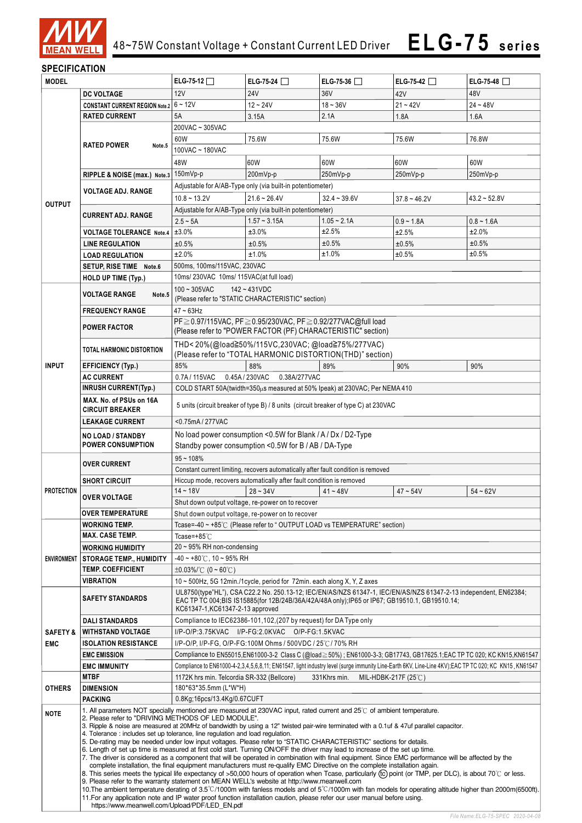

## **SPECIFICATION**

| <b>MODEL</b>                             |                                                                                                                           | ELG-75-12 $\Box$                                                                                                                                                                                                                                                                                                                                                                                                                                                                                                                                                                                                                                                                                                                                                                                                                               | ELG-75-24 $\Box$                                                                   | ELG-75-36 $\Box$ | ELG-75-42 $\Box$                                                                                                                                                                                                 | ELG-75-48 $\Box$ |  |
|------------------------------------------|---------------------------------------------------------------------------------------------------------------------------|------------------------------------------------------------------------------------------------------------------------------------------------------------------------------------------------------------------------------------------------------------------------------------------------------------------------------------------------------------------------------------------------------------------------------------------------------------------------------------------------------------------------------------------------------------------------------------------------------------------------------------------------------------------------------------------------------------------------------------------------------------------------------------------------------------------------------------------------|------------------------------------------------------------------------------------|------------------|------------------------------------------------------------------------------------------------------------------------------------------------------------------------------------------------------------------|------------------|--|
|                                          | <b>DC VOLTAGE</b>                                                                                                         | 12V                                                                                                                                                                                                                                                                                                                                                                                                                                                                                                                                                                                                                                                                                                                                                                                                                                            | <b>24V</b>                                                                         | 36V              | 42V                                                                                                                                                                                                              | 48V              |  |
|                                          | <b>CONSTANT CURRENT REGION Note.2</b>                                                                                     | $6 - 12V$                                                                                                                                                                                                                                                                                                                                                                                                                                                                                                                                                                                                                                                                                                                                                                                                                                      | $12 - 24V$                                                                         | $18 - 36V$       | $21 - 42V$                                                                                                                                                                                                       | $24 - 48V$       |  |
|                                          | <b>RATED CURRENT</b>                                                                                                      | 5A<br>3.15A<br>2.1A<br>1.8A                                                                                                                                                                                                                                                                                                                                                                                                                                                                                                                                                                                                                                                                                                                                                                                                                    |                                                                                    |                  |                                                                                                                                                                                                                  | 1.6A             |  |
|                                          |                                                                                                                           | 200VAC ~ 305VAC                                                                                                                                                                                                                                                                                                                                                                                                                                                                                                                                                                                                                                                                                                                                                                                                                                |                                                                                    |                  |                                                                                                                                                                                                                  |                  |  |
|                                          |                                                                                                                           | 60W                                                                                                                                                                                                                                                                                                                                                                                                                                                                                                                                                                                                                                                                                                                                                                                                                                            | 75.6W                                                                              | 75.6W            | 75.6W                                                                                                                                                                                                            | 76.8W            |  |
|                                          | <b>RATED POWER</b><br>Note.5                                                                                              | 100VAC ~ 180VAC                                                                                                                                                                                                                                                                                                                                                                                                                                                                                                                                                                                                                                                                                                                                                                                                                                |                                                                                    |                  |                                                                                                                                                                                                                  |                  |  |
|                                          |                                                                                                                           | 48W                                                                                                                                                                                                                                                                                                                                                                                                                                                                                                                                                                                                                                                                                                                                                                                                                                            | 60W                                                                                | 60W              | 60W                                                                                                                                                                                                              | 60W              |  |
|                                          | RIPPLE & NOISE (max.) Note.3 150mVp-p                                                                                     |                                                                                                                                                                                                                                                                                                                                                                                                                                                                                                                                                                                                                                                                                                                                                                                                                                                | 200mVp-p                                                                           | 250mVp-p         | 250mVp-p                                                                                                                                                                                                         | 250mVp-p         |  |
|                                          |                                                                                                                           |                                                                                                                                                                                                                                                                                                                                                                                                                                                                                                                                                                                                                                                                                                                                                                                                                                                |                                                                                    |                  |                                                                                                                                                                                                                  |                  |  |
|                                          | <b>VOLTAGE ADJ. RANGE</b>                                                                                                 |                                                                                                                                                                                                                                                                                                                                                                                                                                                                                                                                                                                                                                                                                                                                                                                                                                                | Adjustable for A/AB-Type only (via built-in potentiometer)                         |                  |                                                                                                                                                                                                                  |                  |  |
| <b>OUTPUT</b>                            |                                                                                                                           | $10.8 - 13.2V$                                                                                                                                                                                                                                                                                                                                                                                                                                                                                                                                                                                                                                                                                                                                                                                                                                 | $21.6 - 26.4V$                                                                     | $32.4 - 39.6V$   | $37.8 - 46.2V$                                                                                                                                                                                                   | $43.2 - 52.8V$   |  |
|                                          | <b>CURRENT ADJ. RANGE</b>                                                                                                 |                                                                                                                                                                                                                                                                                                                                                                                                                                                                                                                                                                                                                                                                                                                                                                                                                                                | Adjustable for A/AB-Type only (via built-in potentiometer)                         |                  |                                                                                                                                                                                                                  |                  |  |
|                                          |                                                                                                                           | $2.5 - 5A$                                                                                                                                                                                                                                                                                                                                                                                                                                                                                                                                                                                                                                                                                                                                                                                                                                     | $1.57 - 3.15A$                                                                     | $1.05 - 2.1A$    | $0.9 - 1.8A$                                                                                                                                                                                                     | $0.8 - 1.6A$     |  |
|                                          | <b>VOLTAGE TOLERANCE Note.4</b>                                                                                           | ±3.0%                                                                                                                                                                                                                                                                                                                                                                                                                                                                                                                                                                                                                                                                                                                                                                                                                                          | ±3.0%                                                                              | ±2.5%            | ±2.5%                                                                                                                                                                                                            | ±2.0%            |  |
|                                          | <b>LINE REGULATION</b>                                                                                                    | ±0.5%                                                                                                                                                                                                                                                                                                                                                                                                                                                                                                                                                                                                                                                                                                                                                                                                                                          | ±0.5%                                                                              | ±0.5%            | ±0.5%                                                                                                                                                                                                            | ±0.5%            |  |
|                                          | <b>LOAD REGULATION</b>                                                                                                    | ±2.0%                                                                                                                                                                                                                                                                                                                                                                                                                                                                                                                                                                                                                                                                                                                                                                                                                                          | ±1.0%                                                                              | ±1.0%            | ±0.5%                                                                                                                                                                                                            | ±0.5%            |  |
|                                          | SETUP, RISE TIME Note.6                                                                                                   | 500ms, 100ms/115VAC, 230VAC                                                                                                                                                                                                                                                                                                                                                                                                                                                                                                                                                                                                                                                                                                                                                                                                                    |                                                                                    |                  |                                                                                                                                                                                                                  |                  |  |
|                                          | HOLD UP TIME (Typ.)                                                                                                       | 10ms/230VAC 10ms/115VAC(at full load)                                                                                                                                                                                                                                                                                                                                                                                                                                                                                                                                                                                                                                                                                                                                                                                                          |                                                                                    |                  |                                                                                                                                                                                                                  |                  |  |
|                                          | <b>VOLTAGE RANGE</b><br>Note.5                                                                                            | $100 - 305$ VAC                                                                                                                                                                                                                                                                                                                                                                                                                                                                                                                                                                                                                                                                                                                                                                                                                                | $142 - 431VDC$                                                                     |                  |                                                                                                                                                                                                                  |                  |  |
|                                          |                                                                                                                           |                                                                                                                                                                                                                                                                                                                                                                                                                                                                                                                                                                                                                                                                                                                                                                                                                                                | (Please refer to "STATIC CHARACTERISTIC" section)                                  |                  |                                                                                                                                                                                                                  |                  |  |
|                                          | <b>FREQUENCY RANGE</b>                                                                                                    | $47 - 63$ Hz                                                                                                                                                                                                                                                                                                                                                                                                                                                                                                                                                                                                                                                                                                                                                                                                                                   |                                                                                    |                  |                                                                                                                                                                                                                  |                  |  |
|                                          | <b>POWER FACTOR</b>                                                                                                       | PF ≥ 0.97/115VAC, PF ≥ 0.95/230VAC, PF ≥ 0.92/277VAC@full load<br>(Please refer to "POWER FACTOR (PF) CHARACTERISTIC" section)                                                                                                                                                                                                                                                                                                                                                                                                                                                                                                                                                                                                                                                                                                                 |                                                                                    |                  |                                                                                                                                                                                                                  |                  |  |
|                                          |                                                                                                                           |                                                                                                                                                                                                                                                                                                                                                                                                                                                                                                                                                                                                                                                                                                                                                                                                                                                |                                                                                    |                  |                                                                                                                                                                                                                  |                  |  |
|                                          | TOTAL HARMONIC DISTORTION                                                                                                 |                                                                                                                                                                                                                                                                                                                                                                                                                                                                                                                                                                                                                                                                                                                                                                                                                                                | THD<20%(@load≧50%/115VC,230VAC;@load≧75%/277VAC)                                   |                  |                                                                                                                                                                                                                  |                  |  |
|                                          |                                                                                                                           | (Please refer to "TOTAL HARMONIC DISTORTION(THD)" section)                                                                                                                                                                                                                                                                                                                                                                                                                                                                                                                                                                                                                                                                                                                                                                                     |                                                                                    |                  |                                                                                                                                                                                                                  |                  |  |
| <b>INPUT</b>                             | <b>EFFICIENCY (Typ.)</b>                                                                                                  | 85%                                                                                                                                                                                                                                                                                                                                                                                                                                                                                                                                                                                                                                                                                                                                                                                                                                            | 88%                                                                                | 89%              | 90%                                                                                                                                                                                                              | 90%              |  |
|                                          | <b>AC CURRENT</b>                                                                                                         | 0.7A/115VAC                                                                                                                                                                                                                                                                                                                                                                                                                                                                                                                                                                                                                                                                                                                                                                                                                                    | 0.45A / 230VAC<br>0.38A/277VAC                                                     |                  |                                                                                                                                                                                                                  |                  |  |
|                                          | <b>INRUSH CURRENT(Typ.)</b>                                                                                               |                                                                                                                                                                                                                                                                                                                                                                                                                                                                                                                                                                                                                                                                                                                                                                                                                                                | COLD START 50A(twidth=350 $\mu$ s measured at 50% Ipeak) at 230VAC; Per NEMA 410   |                  |                                                                                                                                                                                                                  |                  |  |
|                                          | MAX. No. of PSUs on 16A                                                                                                   | 5 units (circuit breaker of type B) / 8 units (circuit breaker of type C) at 230VAC                                                                                                                                                                                                                                                                                                                                                                                                                                                                                                                                                                                                                                                                                                                                                            |                                                                                    |                  |                                                                                                                                                                                                                  |                  |  |
|                                          | <b>CIRCUIT BREAKER</b>                                                                                                    |                                                                                                                                                                                                                                                                                                                                                                                                                                                                                                                                                                                                                                                                                                                                                                                                                                                |                                                                                    |                  |                                                                                                                                                                                                                  |                  |  |
| <0.75mA/277VAC<br><b>LEAKAGE CURRENT</b> |                                                                                                                           |                                                                                                                                                                                                                                                                                                                                                                                                                                                                                                                                                                                                                                                                                                                                                                                                                                                |                                                                                    |                  |                                                                                                                                                                                                                  |                  |  |
|                                          | No load power consumption <0.5W for Blank / A / Dx / D2-Type<br>NO LOAD / STANDBY                                         |                                                                                                                                                                                                                                                                                                                                                                                                                                                                                                                                                                                                                                                                                                                                                                                                                                                |                                                                                    |                  |                                                                                                                                                                                                                  |                  |  |
|                                          | <b>POWER CONSUMPTION</b>                                                                                                  | Standby power consumption <0.5W for B / AB / DA-Type                                                                                                                                                                                                                                                                                                                                                                                                                                                                                                                                                                                                                                                                                                                                                                                           |                                                                                    |                  |                                                                                                                                                                                                                  |                  |  |
| $95 - 108%$<br><b>OVER CURRENT</b>       |                                                                                                                           |                                                                                                                                                                                                                                                                                                                                                                                                                                                                                                                                                                                                                                                                                                                                                                                                                                                |                                                                                    |                  |                                                                                                                                                                                                                  |                  |  |
|                                          |                                                                                                                           |                                                                                                                                                                                                                                                                                                                                                                                                                                                                                                                                                                                                                                                                                                                                                                                                                                                | Constant current limiting, recovers automatically after fault condition is removed |                  |                                                                                                                                                                                                                  |                  |  |
|                                          | <b>SHORT CIRCUIT</b>                                                                                                      |                                                                                                                                                                                                                                                                                                                                                                                                                                                                                                                                                                                                                                                                                                                                                                                                                                                | Hiccup mode, recovers automatically after fault condition is removed               |                  |                                                                                                                                                                                                                  |                  |  |
| <b>PROTECTION</b>                        | <b>OVER VOLTAGE</b>                                                                                                       | $14 - 18V$                                                                                                                                                                                                                                                                                                                                                                                                                                                                                                                                                                                                                                                                                                                                                                                                                                     | $28 - 34V$                                                                         | $41 - 48V$       | $47 - 54V$                                                                                                                                                                                                       | $54 - 62V$       |  |
|                                          |                                                                                                                           | Shut down output voltage, re-power on to recover                                                                                                                                                                                                                                                                                                                                                                                                                                                                                                                                                                                                                                                                                                                                                                                               |                                                                                    |                  |                                                                                                                                                                                                                  |                  |  |
|                                          | <b>OVER TEMPERATURE</b>                                                                                                   |                                                                                                                                                                                                                                                                                                                                                                                                                                                                                                                                                                                                                                                                                                                                                                                                                                                | Shut down output voltage, re-power on to recover                                   |                  |                                                                                                                                                                                                                  |                  |  |
|                                          | <b>WORKING TEMP.</b>                                                                                                      |                                                                                                                                                                                                                                                                                                                                                                                                                                                                                                                                                                                                                                                                                                                                                                                                                                                | Tcase=-40 ~ +85°C (Please refer to "OUTPUT LOAD vs TEMPERATURE" section)           |                  |                                                                                                                                                                                                                  |                  |  |
|                                          | <b>MAX. CASE TEMP.</b>                                                                                                    | Tcase=+85°C                                                                                                                                                                                                                                                                                                                                                                                                                                                                                                                                                                                                                                                                                                                                                                                                                                    |                                                                                    |                  |                                                                                                                                                                                                                  |                  |  |
|                                          | <b>WORKING HUMIDITY</b>                                                                                                   | 20 ~ 95% RH non-condensing                                                                                                                                                                                                                                                                                                                                                                                                                                                                                                                                                                                                                                                                                                                                                                                                                     |                                                                                    |                  |                                                                                                                                                                                                                  |                  |  |
| <b>ENVIRONMENT</b>                       | <b>STORAGE TEMP., HUMIDITY</b>                                                                                            | $-40 \sim +80^{\circ}$ C, 10 ~ 95% RH                                                                                                                                                                                                                                                                                                                                                                                                                                                                                                                                                                                                                                                                                                                                                                                                          |                                                                                    |                  |                                                                                                                                                                                                                  |                  |  |
|                                          | <b>TEMP. COEFFICIENT</b>                                                                                                  | $\pm 0.03\%$ (0 ~ 60°C)                                                                                                                                                                                                                                                                                                                                                                                                                                                                                                                                                                                                                                                                                                                                                                                                                        |                                                                                    |                  |                                                                                                                                                                                                                  |                  |  |
|                                          | VIBRATION                                                                                                                 |                                                                                                                                                                                                                                                                                                                                                                                                                                                                                                                                                                                                                                                                                                                                                                                                                                                | 10 $\sim$ 500Hz, 5G 12min./1cycle, period for 72min. each along X, Y, Z axes       |                  |                                                                                                                                                                                                                  |                  |  |
|                                          | <b>SAFETY STANDARDS</b>                                                                                                   |                                                                                                                                                                                                                                                                                                                                                                                                                                                                                                                                                                                                                                                                                                                                                                                                                                                |                                                                                    |                  | UL8750(type"HL"), CSA C22.2 No. 250.13-12; IEC/EN/AS/NZS 61347-1, IEC/EN/AS/NZS 61347-2-13 independent, EN62384;<br>EAC TP TC 004;BIS IS15885(for 12B/24B/36A/42A/48A only);IP65 or IP67; GB19510.1, GB19510.14; |                  |  |
|                                          |                                                                                                                           | KC61347-1, KC61347-2-13 approved                                                                                                                                                                                                                                                                                                                                                                                                                                                                                                                                                                                                                                                                                                                                                                                                               |                                                                                    |                  |                                                                                                                                                                                                                  |                  |  |
|                                          | <b>DALI STANDARDS</b>                                                                                                     | Compliance to IEC62386-101, 102, (207 by request) for DA Type only                                                                                                                                                                                                                                                                                                                                                                                                                                                                                                                                                                                                                                                                                                                                                                             |                                                                                    |                  |                                                                                                                                                                                                                  |                  |  |
| <b>SAFETY &amp;</b>                      | <b>WITHSTAND VOLTAGE</b>                                                                                                  |                                                                                                                                                                                                                                                                                                                                                                                                                                                                                                                                                                                                                                                                                                                                                                                                                                                | I/P-O/P:3.75KVAC I/P-FG:2.0KVAC O/P-FG:1.5KVAC                                     |                  |                                                                                                                                                                                                                  |                  |  |
| <b>EMC</b>                               | <b>ISOLATION RESISTANCE</b>                                                                                               |                                                                                                                                                                                                                                                                                                                                                                                                                                                                                                                                                                                                                                                                                                                                                                                                                                                | I/P-O/P, I/P-FG, O/P-FG:100M Ohms / 500VDC / 25°C / 70% RH                         |                  |                                                                                                                                                                                                                  |                  |  |
|                                          | <b>EMC EMISSION</b>                                                                                                       |                                                                                                                                                                                                                                                                                                                                                                                                                                                                                                                                                                                                                                                                                                                                                                                                                                                |                                                                                    |                  | Compliance to EN55015,EN61000-3-2 Class C (@load≧50%) ; EN61000-3-3; GB17743, GB17625.1;EAC TP TC 020; KC KN15,KN61547                                                                                           |                  |  |
|                                          | <b>EMC IMMUNITY</b>                                                                                                       |                                                                                                                                                                                                                                                                                                                                                                                                                                                                                                                                                                                                                                                                                                                                                                                                                                                |                                                                                    |                  | Compliance to EN61000-4-2,3,4,5,6,8,11; EN61547, light industry level (surge immunity Line-Earth 6KV, Line-Line 4KV);EAC TP TC 020; KC KN15, KN61547                                                             |                  |  |
|                                          | <b>MTBF</b>                                                                                                               | 1172K hrs min. Telcordia SR-332 (Bellcore)<br>331Khrs min.<br>MIL-HDBK-217F (25 $\degree$ C)                                                                                                                                                                                                                                                                                                                                                                                                                                                                                                                                                                                                                                                                                                                                                   |                                                                                    |                  |                                                                                                                                                                                                                  |                  |  |
| <b>OTHERS</b>                            | <b>DIMENSION</b>                                                                                                          | 180*63*35.5mm (L*W*H)                                                                                                                                                                                                                                                                                                                                                                                                                                                                                                                                                                                                                                                                                                                                                                                                                          |                                                                                    |                  |                                                                                                                                                                                                                  |                  |  |
|                                          | <b>PACKING</b>                                                                                                            | 0.8Kg;16pcs/13.4Kg/0.67CUFT                                                                                                                                                                                                                                                                                                                                                                                                                                                                                                                                                                                                                                                                                                                                                                                                                    |                                                                                    |                  |                                                                                                                                                                                                                  |                  |  |
| <b>NOTE</b>                              | 1. All parameters NOT specially mentioned are measured at 230VAC input, rated current and 25°C of ambient temperature.    |                                                                                                                                                                                                                                                                                                                                                                                                                                                                                                                                                                                                                                                                                                                                                                                                                                                |                                                                                    |                  |                                                                                                                                                                                                                  |                  |  |
|                                          |                                                                                                                           | 2. Please refer to "DRIVING METHODS OF LED MODULE".<br>3. Ripple & noise are measured at 20MHz of bandwidth by using a 12" twisted pair-wire terminated with a 0.1uf & 47uf parallel capacitor.<br>4. Tolerance : includes set up tolerance, line regulation and load regulation.                                                                                                                                                                                                                                                                                                                                                                                                                                                                                                                                                              |                                                                                    |                  |                                                                                                                                                                                                                  |                  |  |
|                                          |                                                                                                                           |                                                                                                                                                                                                                                                                                                                                                                                                                                                                                                                                                                                                                                                                                                                                                                                                                                                |                                                                                    |                  |                                                                                                                                                                                                                  |                  |  |
|                                          |                                                                                                                           | 5. De-rating may be needed under low input voltages. Please refer to "STATIC CHARACTERISTIC" sections for details.                                                                                                                                                                                                                                                                                                                                                                                                                                                                                                                                                                                                                                                                                                                             |                                                                                    |                  |                                                                                                                                                                                                                  |                  |  |
|                                          |                                                                                                                           | 6. Length of set up time is measured at first cold start. Turning ON/OFF the driver may lead to increase of the set up time.<br>7. The driver is considered as a component that will be operated in combination with final equipment. Since EMC performance will be affected by the<br>complete installation, the final equipment manufacturers must re-qualify EMC Directive on the complete installation again.<br>8. This series meets the typical life expectancy of >50,000 hours of operation when Tcase, particularly (tc) point (or TMP, per DLC), is about 70°C or less.<br>9. Please refer to the warranty statement on MEAN WELL's website at http://www.meanwell.com<br>10. The ambient temperature derating of 3.5°C/1000m with fanless models and of 5°C/1000m with fan models for operating altitude higher than 2000m(6500ft). |                                                                                    |                  |                                                                                                                                                                                                                  |                  |  |
|                                          |                                                                                                                           |                                                                                                                                                                                                                                                                                                                                                                                                                                                                                                                                                                                                                                                                                                                                                                                                                                                |                                                                                    |                  |                                                                                                                                                                                                                  |                  |  |
|                                          |                                                                                                                           |                                                                                                                                                                                                                                                                                                                                                                                                                                                                                                                                                                                                                                                                                                                                                                                                                                                |                                                                                    |                  |                                                                                                                                                                                                                  |                  |  |
|                                          |                                                                                                                           |                                                                                                                                                                                                                                                                                                                                                                                                                                                                                                                                                                                                                                                                                                                                                                                                                                                |                                                                                    |                  |                                                                                                                                                                                                                  |                  |  |
|                                          | 11. For any application note and IP water proof function installation caution, please refer our user manual before using. |                                                                                                                                                                                                                                                                                                                                                                                                                                                                                                                                                                                                                                                                                                                                                                                                                                                |                                                                                    |                  |                                                                                                                                                                                                                  |                  |  |

https://www.meanwell.com/Upload/PDF/LED\_EN.pdf

 $\overline{\phantom{a}}$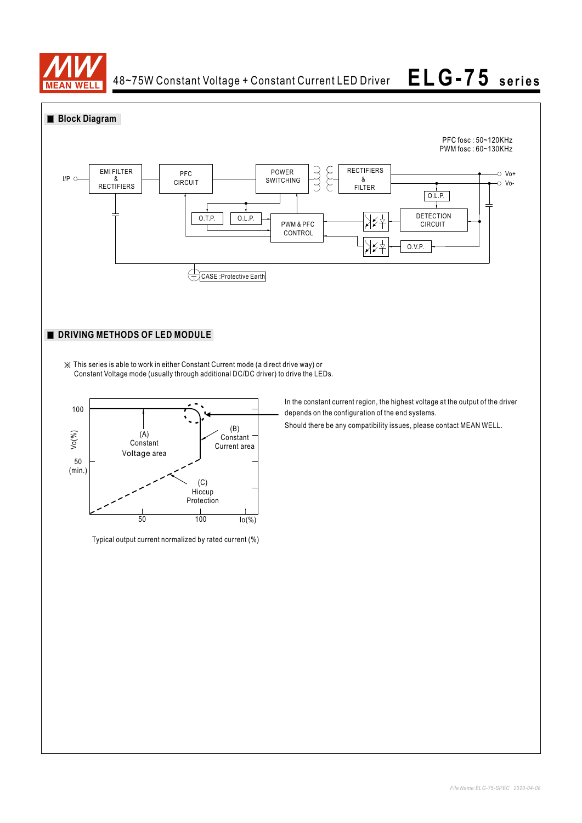

48~75W Constant Voltage + Constant Current LED Driver

# **ELG-75 seri es**





Typical output current normalized by rated current (%)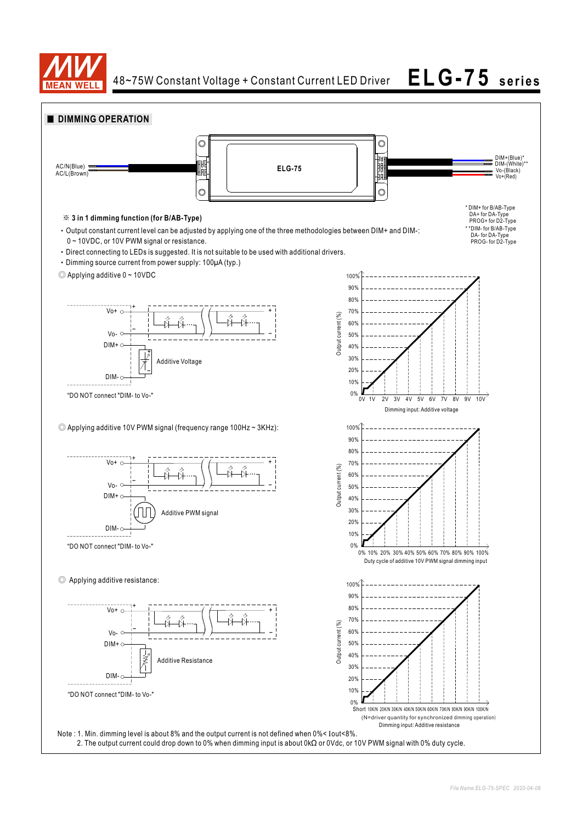

48~75W Constant Voltage + Constant Current LED Driver **ELG-75 seri es**

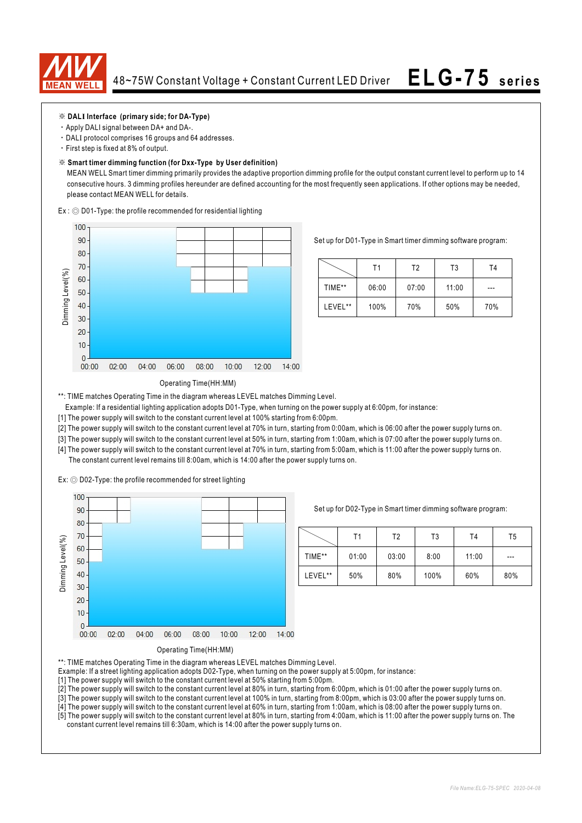

### ※ **DALI Interface (primary side; for DA-Type)**

- ‧Apply DALI signal between DA+ and DA-.
- ‧DALI protocol comprises 16 groups and 64 addresses.
- ‧First step is fixed at 8% of output.

### ※ **Smart timer dimming function (for Dxx-Type by User definition)**

 MEAN WELL Smart timer dimming primarily provides the adaptive proportion dimming profile for the output constant current level to perform up to 14 consecutive hours. 3 dimming profiles hereunder are defined accounting for the most frequently seen applications. If other options may be needed, please contact MEAN WELL for details.

Ex : ◎ D01-Type: the profile recommended for residential lighting



Set up for D01-Type in Smart timer dimming software program:

|         | Τ1    | T2    | T3    | Τ4  |
|---------|-------|-------|-------|-----|
| TIME**  | 06:00 | 07:00 | 11:00 | --- |
| LEVEL** | 100%  | 70%   | 50%   | 70% |

### Operating Time(HH:MM)

\*\*: TIME matches Operating Time in the diagram whereas LEVEL matches Dimming Level.

- Example: If a residential lighting application adopts D01-Type, when turning on the power supply at 6:00pm, for instance:
- [1] The power supply will switch to the constant current level at 100% starting from 6:00pm.
- [2] The power supply will switch to the constant current level at 70% in turn, starting from 0:00am, which is 06:00 after the power supply turns on.
- [3] The power supply will switch to the constant current level at 50% in turn, starting from 1:00am, which is 07:00 after the power supply turns on.
- [4] The power supply will switch to the constant current level at 70% in turn, starting from 5:00am, which is 11:00 after the power supply turns on. The constant current level remains till 8:00am, which is 14:00 after the power supply turns on.

Ex: ◎ D02-Type: the profile recommended for street lighting



Set up for D02-Type in Smart timer dimming software program:

|         | Τ1    | Т2    | T3   | T <sub>4</sub> | T5  |
|---------|-------|-------|------|----------------|-----|
| TIME**  | 01:00 | 03:00 | 8:00 | 11:00          | --- |
| LEVEL** | 50%   | 80%   | 100% | 60%            | 80% |

Operating Time(HH:MM)

\*\*: TIME matches Operating Time in the diagram whereas LEVEL matches Dimming Level.

- Example: If a street lighting application adopts D02-Type, when turning on the power supply at 5:00pm, for instance:
- [1] The power supply will switch to the constant current level at 50% starting from 5:00pm.
- [2] The power supply will switch to the constant current level at 80% in turn, starting from 6:00pm, which is 01:00 after the power supply turns on.
- [3] The power supply will switch to the constant current level at 100% in turn, starting from 8:00pm, which is 03:00 after the power supply turns on.
- [4] The power supply will switch to the constant current level at 60% in turn, starting from 1:00am, which is 08:00 after the power supply turns on.

<sup>[5]</sup> The power supply will switch to the constant current level at 80% in turn, starting from 4:00am, which is 11:00 after the power supply turns on. The constant current level remains till 6:30am, which is 14:00 after the power supply turns on.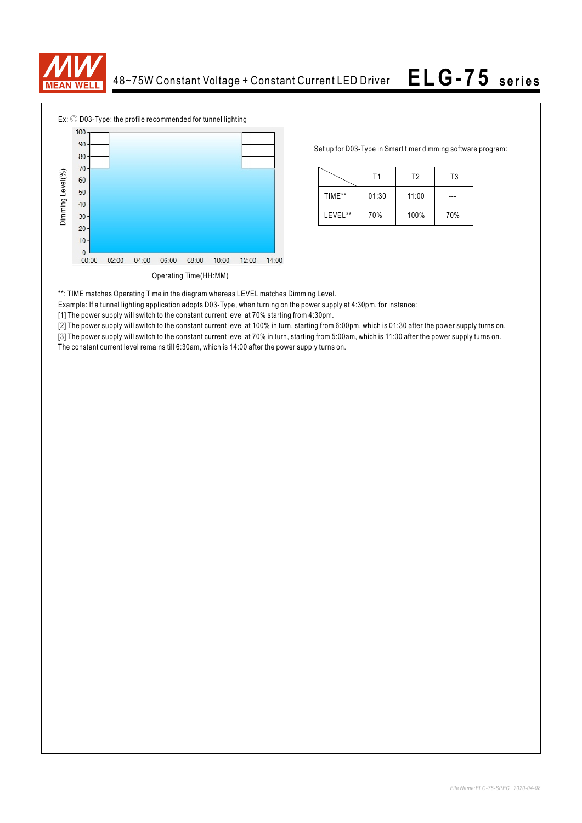



Set up for D03-Type in Smart timer dimming software program:

|         | Τ1    | T <sub>2</sub> | T3  |
|---------|-------|----------------|-----|
| TIME**  | 01:30 | 11:00          |     |
| LEVEL** | 70%   | 100%           | 70% |

\*\*: TIME matches Operating Time in the diagram whereas LEVEL matches Dimming Level.

Example: If a tunnel lighting application adopts D03-Type, when turning on the power supply at 4:30pm, for instance:

[1] The power supply will switch to the constant current level at 70% starting from 4:30pm.

[2] The power supply will switch to the constant current level at 100% in turn, starting from 6:00pm, which is 01:30 after the power supply turns on.

[3] The power supply will switch to the constant current level at 70% in turn, starting from 5:00am, which is 11:00 after the power supply turns on. The constant current level remains till 6:30am, which is 14:00 after the power supply turns on.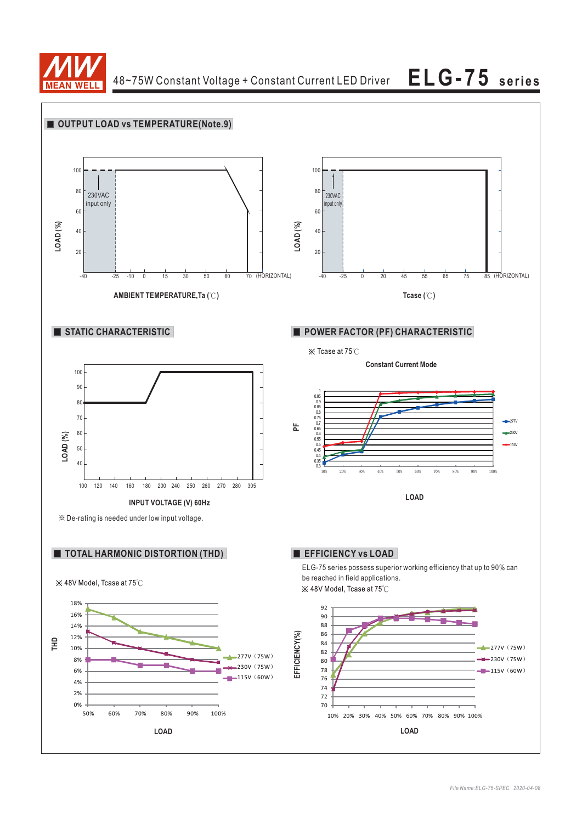

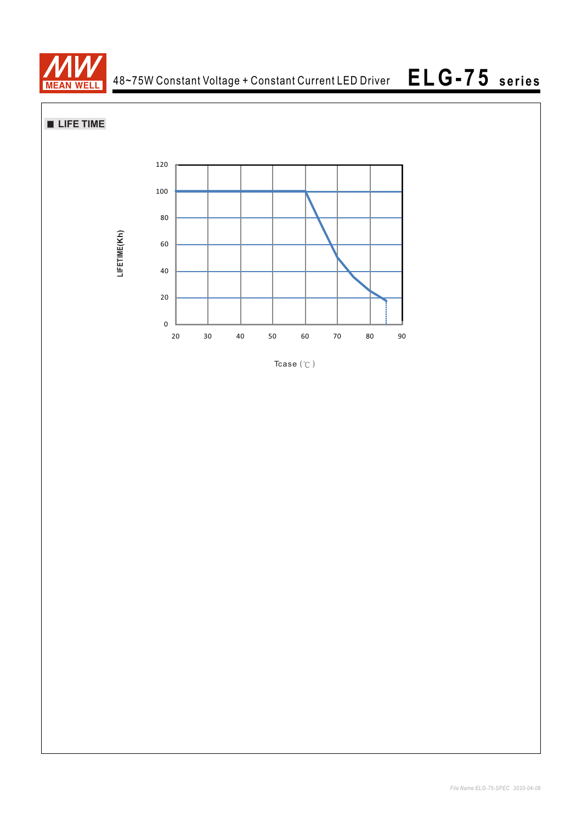

**LIFE TIME**



Tcase $({\degree}C)$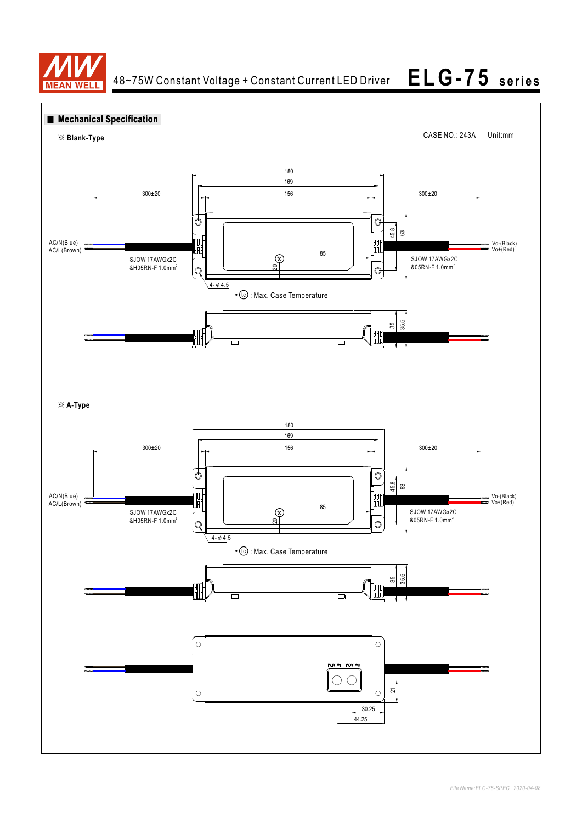

**ELG-75 seri es**

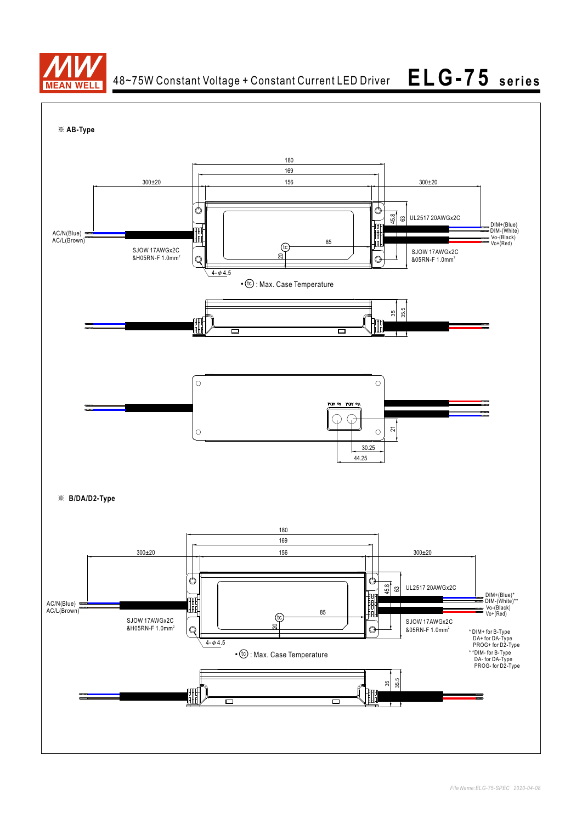

48~75W Constant Voltage + Constant Current LED Driver

**ELG-75 seri es**